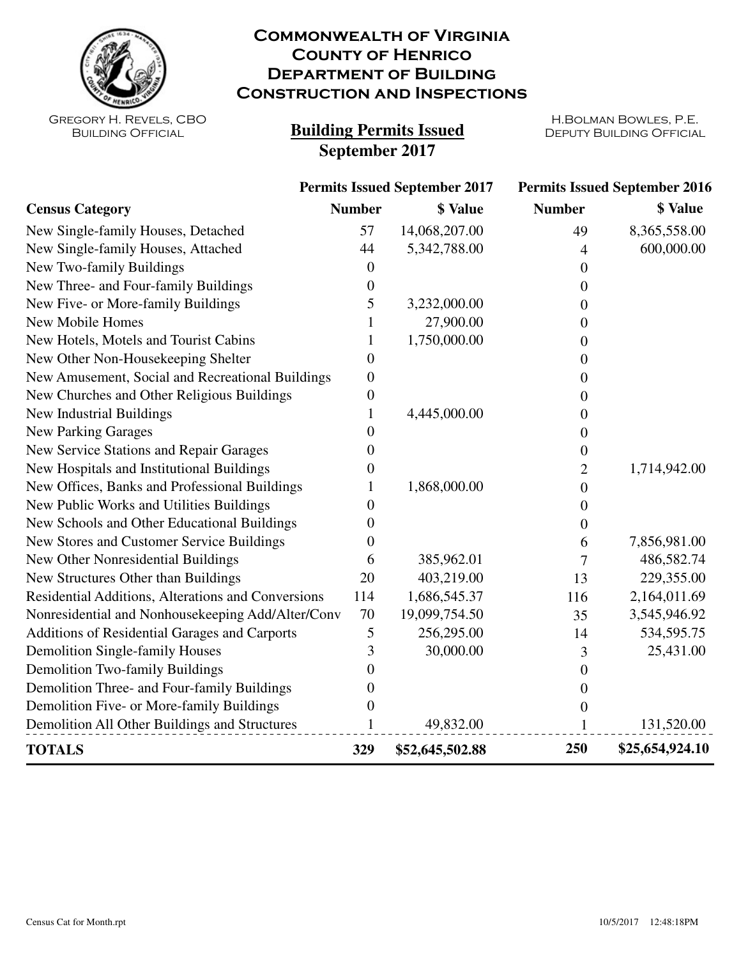

## **Commonwealth of Virginia County of Henrico Department of Building Construction and Inspections**

Gregory H. Revels, CBO Building Official

## **Building Permits Issued DEPUTY BUILDING OFFICIAL September 2017**

H.Bolman Bowles, P.E.

|                                                    | <b>Permits Issued September 2017</b> |                 | <b>Permits Issued September 2016</b> |                 |
|----------------------------------------------------|--------------------------------------|-----------------|--------------------------------------|-----------------|
| <b>Census Category</b>                             | <b>Number</b>                        | <b>\$</b> Value | <b>Number</b>                        | \$ Value        |
| New Single-family Houses, Detached                 | 57                                   | 14,068,207.00   | 49                                   | 8,365,558.00    |
| New Single-family Houses, Attached                 | 44                                   | 5,342,788.00    | 4                                    | 600,000.00      |
| New Two-family Buildings                           | $\theta$                             |                 | 0                                    |                 |
| New Three- and Four-family Buildings               | 0                                    |                 | 0                                    |                 |
| New Five- or More-family Buildings                 | 5                                    | 3,232,000.00    | $\theta$                             |                 |
| New Mobile Homes                                   |                                      | 27,900.00       | 0                                    |                 |
| New Hotels, Motels and Tourist Cabins              | 1                                    | 1,750,000.00    | 0                                    |                 |
| New Other Non-Housekeeping Shelter                 | 0                                    |                 | $\theta$                             |                 |
| New Amusement, Social and Recreational Buildings   | $\boldsymbol{0}$                     |                 | 0                                    |                 |
| New Churches and Other Religious Buildings         | $\boldsymbol{0}$                     |                 | 0                                    |                 |
| New Industrial Buildings                           | 1                                    | 4,445,000.00    | $\theta$                             |                 |
| <b>New Parking Garages</b>                         | 0                                    |                 | 0                                    |                 |
| New Service Stations and Repair Garages            | 0                                    |                 | 0                                    |                 |
| New Hospitals and Institutional Buildings          | 0                                    |                 | 2                                    | 1,714,942.00    |
| New Offices, Banks and Professional Buildings      |                                      | 1,868,000.00    | $\boldsymbol{0}$                     |                 |
| New Public Works and Utilities Buildings           | 0                                    |                 | 0                                    |                 |
| New Schools and Other Educational Buildings        | $\theta$                             |                 | $\theta$                             |                 |
| New Stores and Customer Service Buildings          | 0                                    |                 | 6                                    | 7,856,981.00    |
| New Other Nonresidential Buildings                 | 6                                    | 385,962.01      | $\boldsymbol{7}$                     | 486,582.74      |
| New Structures Other than Buildings                | 20                                   | 403,219.00      | 13                                   | 229,355.00      |
| Residential Additions, Alterations and Conversions | 114                                  | 1,686,545.37    | 116                                  | 2,164,011.69    |
| Nonresidential and Nonhousekeeping Add/Alter/Conv  | 70                                   | 19,099,754.50   | 35                                   | 3,545,946.92    |
| Additions of Residential Garages and Carports      | 5                                    | 256,295.00      | 14                                   | 534,595.75      |
| Demolition Single-family Houses                    | 3                                    | 30,000.00       | 3                                    | 25,431.00       |
| Demolition Two-family Buildings                    | 0                                    |                 | $\theta$                             |                 |
| Demolition Three- and Four-family Buildings        | $\theta$                             |                 | $\overline{0}$                       |                 |
| Demolition Five- or More-family Buildings          | 0                                    |                 | $\theta$                             |                 |
| Demolition All Other Buildings and Structures      | 1                                    | 49,832.00       | 1                                    | 131,520.00      |
| <b>TOTALS</b>                                      | 329                                  | \$52,645,502.88 | 250                                  | \$25,654,924.10 |